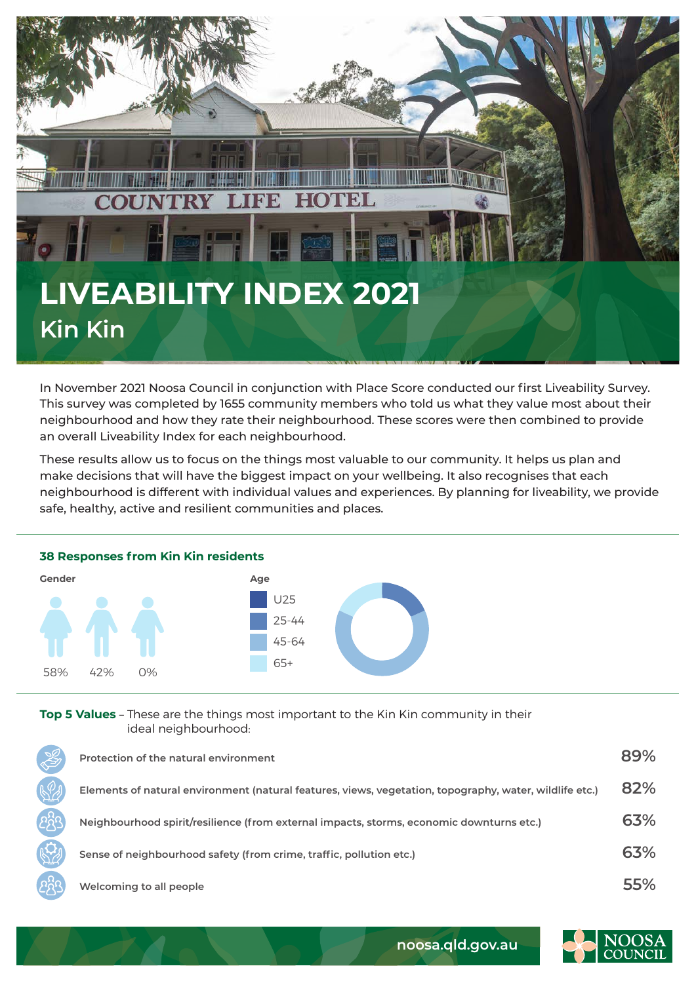

In November 2021 Noosa Council in conjunction with Place Score conducted our first Liveability Survey. This survey was completed by 1655 community members who told us what they value most about their neighbourhood and how they rate their neighbourhood. These scores were then combined to provide an overall Liveability Index for each neighbourhood.

These results allow us to focus on the things most valuable to our community. It helps us plan and make decisions that will have the biggest impact on your wellbeing. It also recognises that each neighbourhood is different with individual values and experiences. By planning for liveability, we provide safe, healthy, active and resilient communities and places.



## **Top 5 Values** – These are the things most important to the Kin Kin community in their ideal neighbourhood:

| Protection of the natural environment                                                                   | 89% |
|---------------------------------------------------------------------------------------------------------|-----|
| Elements of natural environment (natural features, views, vegetation, topography, water, wildlife etc.) | 82% |
| Neighbourhood spirit/resilience (from external impacts, storms, economic downturns etc.)                | 63% |
| Sense of neighbourhood safety (from crime, traffic, pollution etc.)                                     | 63% |
| Welcoming to all people                                                                                 | 55% |



**noosa.qld.gov.au**